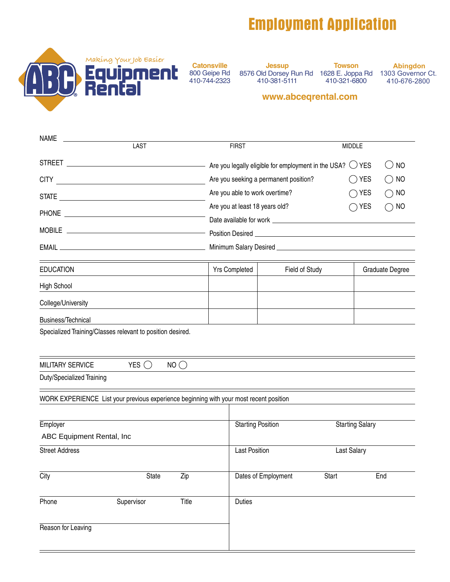## **Employment Application**



800 Geipe Rd 410-744-2323

**Jessup** 8576 Old Dorsey Run Rd 410-381-5111

**Towson** 1628 E. Joppa Rd 410-321-6800

**Abingdon** 1303 Governor Ct. 410-676-2800

## **www.abceqrental.com**

| <b>NAME</b>                                                                                                                          |             |       |  |                          |                                       |                                                                                                                       |                        |                                                          |
|--------------------------------------------------------------------------------------------------------------------------------------|-------------|-------|--|--------------------------|---------------------------------------|-----------------------------------------------------------------------------------------------------------------------|------------------------|----------------------------------------------------------|
|                                                                                                                                      | <b>LAST</b> |       |  | <b>FIRST</b>             |                                       |                                                                                                                       | <b>MIDDLE</b>          |                                                          |
|                                                                                                                                      |             |       |  |                          |                                       |                                                                                                                       | $()$ YES               | <b>NO</b><br>$($ )                                       |
| <b>CITY</b><br><u> 1980 - Johann Barbara, martxa alemaniar a</u>                                                                     |             |       |  |                          | Are you seeking a permanent position? |                                                                                                                       | <b>YES</b>             | <b>NO</b><br>$\Box$                                      |
|                                                                                                                                      |             |       |  |                          | Are you able to work overtime?        |                                                                                                                       | <b>YES</b>             | <b>NO</b><br>$\left(\begin{array}{c} \end{array}\right)$ |
| <b>PHONE</b><br><u> 1989 - Johann Barn, mars eta bainar eta bainar eta baina eta baina eta baina eta baina eta baina eta baina e</u> |             |       |  |                          | Are you at least 18 years old?        |                                                                                                                       | YES                    | <b>NO</b><br>$( \ )$                                     |
|                                                                                                                                      |             |       |  |                          |                                       |                                                                                                                       |                        |                                                          |
|                                                                                                                                      |             |       |  |                          |                                       | Position Desired <u>Container and Container and Container and Container and Container and Container and Container</u> |                        |                                                          |
|                                                                                                                                      |             |       |  |                          |                                       |                                                                                                                       |                        |                                                          |
| <b>EDUCATION</b>                                                                                                                     |             |       |  | Yrs Completed            |                                       | Field of Study                                                                                                        |                        | Graduate Degree                                          |
| High School                                                                                                                          |             |       |  |                          |                                       |                                                                                                                       |                        |                                                          |
| College/University                                                                                                                   |             |       |  |                          |                                       |                                                                                                                       |                        |                                                          |
| Business/Technical                                                                                                                   |             |       |  |                          |                                       |                                                                                                                       |                        |                                                          |
| Specialized Training/Classes relevant to position desired.                                                                           |             |       |  |                          |                                       |                                                                                                                       |                        |                                                          |
| MILITARY SERVICE                                                                                                                     | YES $( )$   | NO()  |  |                          |                                       |                                                                                                                       |                        |                                                          |
| Duty/Specialized Training                                                                                                            |             |       |  |                          |                                       |                                                                                                                       |                        |                                                          |
| WORK EXPERIENCE List your previous experience beginning with your most recent position                                               |             |       |  |                          |                                       |                                                                                                                       |                        |                                                          |
| Employer                                                                                                                             |             |       |  | <b>Starting Position</b> |                                       |                                                                                                                       | <b>Starting Salary</b> |                                                          |
| ABC Equipment Rental, Inc.                                                                                                           |             |       |  |                          |                                       |                                                                                                                       |                        |                                                          |
| <b>Street Address</b>                                                                                                                |             |       |  | <b>Last Position</b>     |                                       |                                                                                                                       | <b>Last Salary</b>     |                                                          |
| City                                                                                                                                 | State       | Zip   |  |                          | Dates of Employment                   | <b>Start</b>                                                                                                          |                        | End                                                      |
| Phone<br>Supervisor                                                                                                                  |             | Title |  | <b>Duties</b>            |                                       |                                                                                                                       |                        |                                                          |
| Reason for Leaving                                                                                                                   |             |       |  |                          |                                       |                                                                                                                       |                        |                                                          |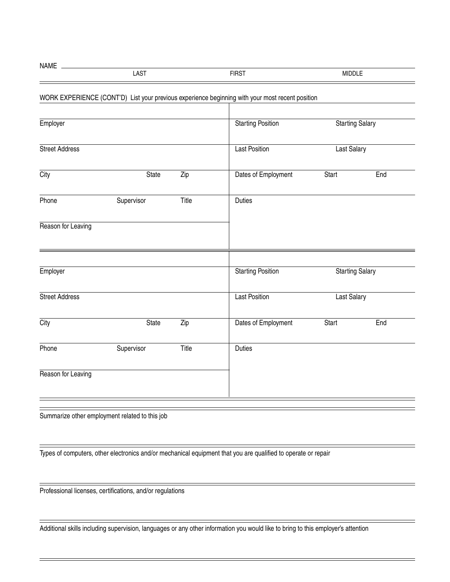| NAME |              |              |  |
|------|--------------|--------------|--|
|      | $\sim$<br>טר | <b>FIRST</b> |  |

## WORK EXPERIENCE (CONT'D) List your previous experience beginning with your most recent position

| Employer              |              | <b>Starting Position</b> | <b>Starting Salary</b>   |                        |     |
|-----------------------|--------------|--------------------------|--------------------------|------------------------|-----|
| <b>Street Address</b> |              |                          | <b>Last Position</b>     | Last Salary            |     |
| City                  | <b>State</b> | $\overline{Zip}$         | Dates of Employment      | <b>Start</b>           | End |
| Phone                 | Supervisor   | Title                    | <b>Duties</b>            |                        |     |
| Reason for Leaving    |              |                          |                          |                        |     |
| Employer              |              |                          | <b>Starting Position</b> | <b>Starting Salary</b> |     |
| <b>Street Address</b> |              |                          | <b>Last Position</b>     | Last Salary            |     |
| City                  | <b>State</b> | $\overline{Zip}$         | Dates of Employment      | <b>Start</b>           | End |
| Phone                 | Supervisor   | Title                    | <b>Duties</b>            |                        |     |
| Reason for Leaving    |              |                          |                          |                        |     |
|                       |              |                          |                          |                        |     |

Summarize other employment related to this job

Types of computers, other electronics and/or mechanical equipment that you are qualified to operate or repair

Professional licenses, certifications, and/or regulations

Additional skills including supervision, languages or any other information you would like to bring to this employer's attention